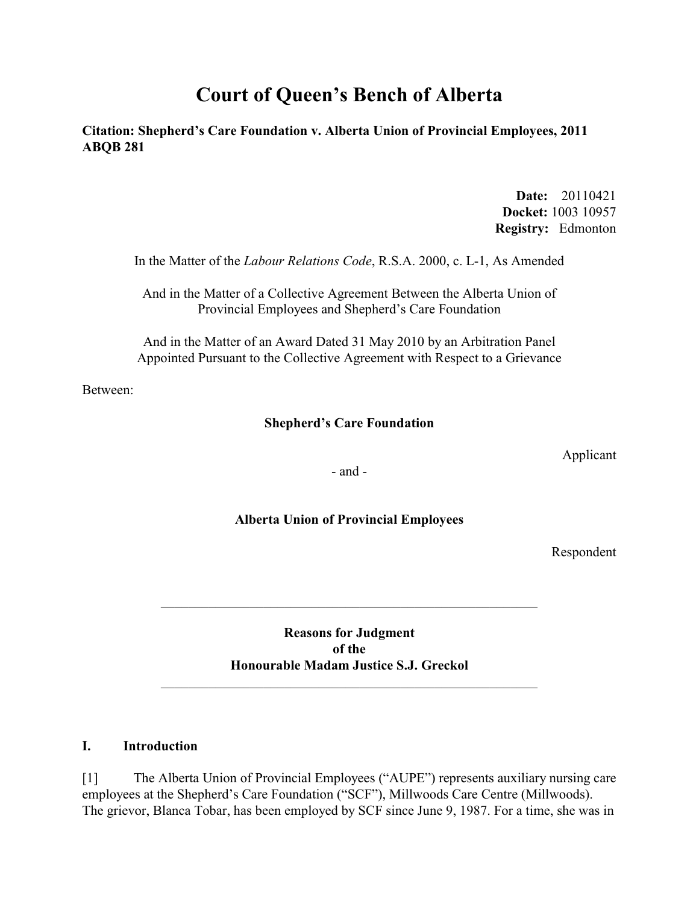# **Court of Queen's Bench of Alberta**

**Citation: Shepherd's Care Foundation v. Alberta Union of Provincial Employees, 2011 ABQB 281** 

> **Date:** 20110421 **Docket:** 1003 10957 **Registry:** Edmonton

In the Matter of the *Labour Relations Code*, R.S.A. 2000, c. L-1, As Amended

And in the Matter of a Collective Agreement Between the Alberta Union of Provincial Employees and Shepherd's Care Foundation

And in the Matter of an Award Dated 31 May 2010 by an Arbitration Panel Appointed Pursuant to the Collective Agreement with Respect to a Grievance

Between:

#### **Shepherd's Care Foundation**

Applicant

- and -

#### **Alberta Union of Provincial Employees**

Respondent

**Reasons for Judgment of the Honourable Madam Justice S.J. Greckol**

\_\_\_\_\_\_\_\_\_\_\_\_\_\_\_\_\_\_\_\_\_\_\_\_\_\_\_\_\_\_\_\_\_\_\_\_\_\_\_\_\_\_\_\_\_\_\_\_\_\_\_\_\_\_\_

#### **I. Introduction**

[1] The Alberta Union of Provincial Employees ("AUPE") represents auxiliary nursing care employees at the Shepherd's Care Foundation ("SCF"), Millwoods Care Centre (Millwoods). The grievor, Blanca Tobar, has been employed by SCF since June 9, 1987. For a time, she was in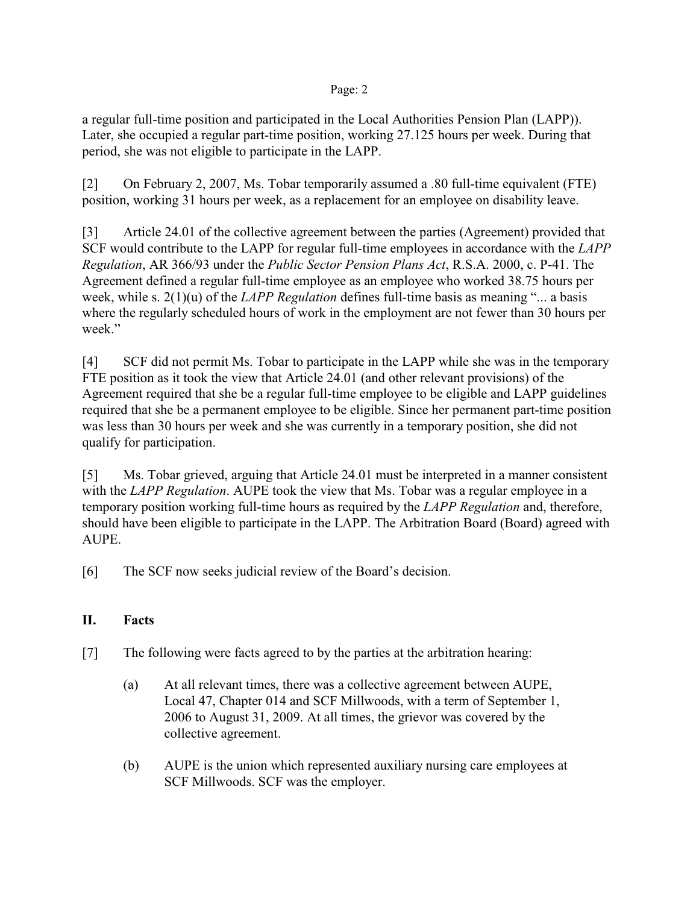a regular full-time position and participated in the Local Authorities Pension Plan (LAPP)). Later, she occupied a regular part-time position, working 27.125 hours per week. During that period, she was not eligible to participate in the LAPP.

[2] On February 2, 2007, Ms. Tobar temporarily assumed a .80 full-time equivalent (FTE) position, working 31 hours per week, as a replacement for an employee on disability leave.

[3] Article 24.01 of the collective agreement between the parties (Agreement) provided that SCF would contribute to the LAPP for regular full-time employees in accordance with the *LAPP Regulation*, AR 366/93 under the *Public Sector Pension Plans Act*, R.S.A. 2000, c. P-41. The Agreement defined a regular full-time employee as an employee who worked 38.75 hours per week, while s. 2(1)(u) of the *LAPP Regulation* defines full-time basis as meaning "... a basis where the regularly scheduled hours of work in the employment are not fewer than 30 hours per week."

[4] SCF did not permit Ms. Tobar to participate in the LAPP while she was in the temporary FTE position as it took the view that Article 24.01 (and other relevant provisions) of the Agreement required that she be a regular full-time employee to be eligible and LAPP guidelines required that she be a permanent employee to be eligible. Since her permanent part-time position was less than 30 hours per week and she was currently in a temporary position, she did not qualify for participation.

[5] Ms. Tobar grieved, arguing that Article 24.01 must be interpreted in a manner consistent with the *LAPP Regulation*. AUPE took the view that Ms. Tobar was a regular employee in a temporary position working full-time hours as required by the *LAPP Regulation* and, therefore, should have been eligible to participate in the LAPP. The Arbitration Board (Board) agreed with AUPE.

[6] The SCF now seeks judicial review of the Board's decision.

## **II. Facts**

- [7] The following were facts agreed to by the parties at the arbitration hearing:
	- (a) At all relevant times, there was a collective agreement between AUPE, Local 47, Chapter 014 and SCF Millwoods, with a term of September 1, 2006 to August 31, 2009. At all times, the grievor was covered by the collective agreement.
	- (b) AUPE is the union which represented auxiliary nursing care employees at SCF Millwoods. SCF was the employer.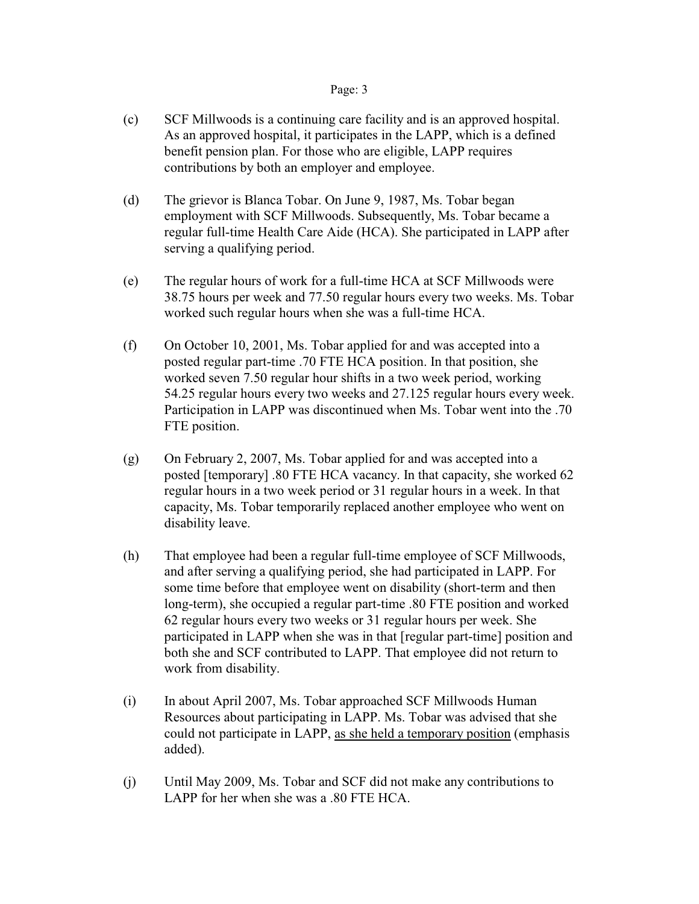- (c) SCF Millwoods is a continuing care facility and is an approved hospital. As an approved hospital, it participates in the LAPP, which is a defined benefit pension plan. For those who are eligible, LAPP requires contributions by both an employer and employee.
- (d) The grievor is Blanca Tobar. On June 9, 1987, Ms. Tobar began employment with SCF Millwoods. Subsequently, Ms. Tobar became a regular full-time Health Care Aide (HCA). She participated in LAPP after serving a qualifying period.
- (e) The regular hours of work for a full-time HCA at SCF Millwoods were 38.75 hours per week and 77.50 regular hours every two weeks. Ms. Tobar worked such regular hours when she was a full-time HCA.
- (f) On October 10, 2001, Ms. Tobar applied for and was accepted into a posted regular part-time .70 FTE HCA position. In that position, she worked seven 7.50 regular hour shifts in a two week period, working 54.25 regular hours every two weeks and 27.125 regular hours every week. Participation in LAPP was discontinued when Ms. Tobar went into the .70 FTE position.
- (g) On February 2, 2007, Ms. Tobar applied for and was accepted into a posted [temporary] .80 FTE HCA vacancy. In that capacity, she worked 62 regular hours in a two week period or 31 regular hours in a week. In that capacity, Ms. Tobar temporarily replaced another employee who went on disability leave.
- (h) That employee had been a regular full-time employee of SCF Millwoods, and after serving a qualifying period, she had participated in LAPP. For some time before that employee went on disability (short-term and then long-term), she occupied a regular part-time .80 FTE position and worked 62 regular hours every two weeks or 31 regular hours per week. She participated in LAPP when she was in that [regular part-time] position and both she and SCF contributed to LAPP. That employee did not return to work from disability.
- (i) In about April 2007, Ms. Tobar approached SCF Millwoods Human Resources about participating in LAPP. Ms. Tobar was advised that she could not participate in LAPP, as she held a temporary position (emphasis added).
- (j) Until May 2009, Ms. Tobar and SCF did not make any contributions to LAPP for her when she was a .80 FTE HCA.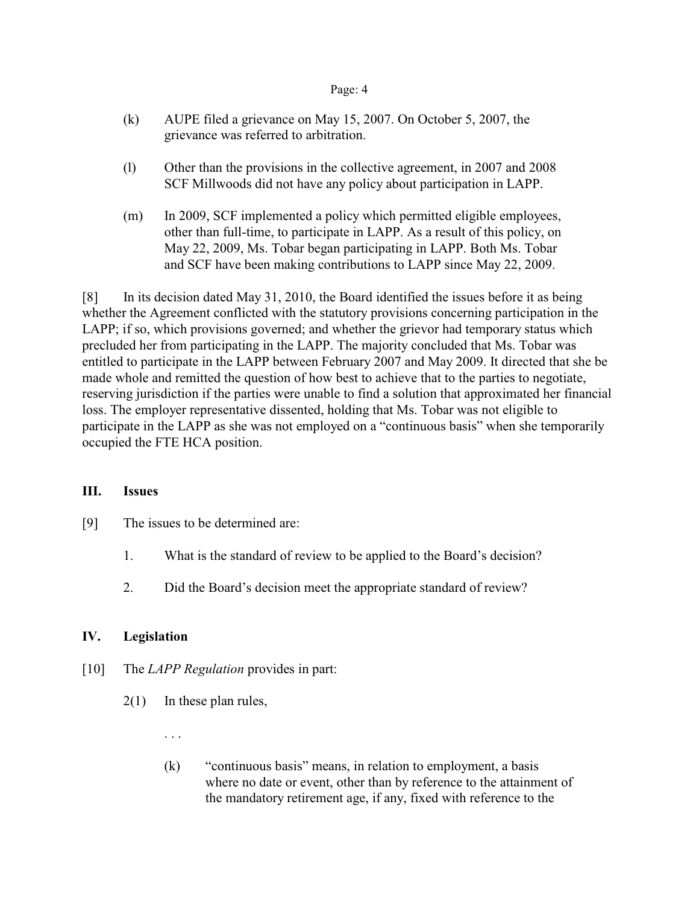- (k) AUPE filed a grievance on May 15, 2007. On October 5, 2007, the grievance was referred to arbitration.
- (l) Other than the provisions in the collective agreement, in 2007 and 2008 SCF Millwoods did not have any policy about participation in LAPP.
- (m) In 2009, SCF implemented a policy which permitted eligible employees, other than full-time, to participate in LAPP. As a result of this policy, on May 22, 2009, Ms. Tobar began participating in LAPP. Both Ms. Tobar and SCF have been making contributions to LAPP since May 22, 2009.

[8] In its decision dated May 31, 2010, the Board identified the issues before it as being whether the Agreement conflicted with the statutory provisions concerning participation in the LAPP; if so, which provisions governed; and whether the grievor had temporary status which precluded her from participating in the LAPP. The majority concluded that Ms. Tobar was entitled to participate in the LAPP between February 2007 and May 2009. It directed that she be made whole and remitted the question of how best to achieve that to the parties to negotiate, reserving jurisdiction if the parties were unable to find a solution that approximated her financial loss. The employer representative dissented, holding that Ms. Tobar was not eligible to participate in the LAPP as she was not employed on a "continuous basis" when she temporarily occupied the FTE HCA position.

#### **III. Issues**

- [9] The issues to be determined are:
	- 1. What is the standard of review to be applied to the Board's decision?
	- 2. Did the Board's decision meet the appropriate standard of review?

### **IV. Legislation**

- [10] The *LAPP Regulation* provides in part:
	- 2(1) In these plan rules,

. . .

(k) "continuous basis" means, in relation to employment, a basis where no date or event, other than by reference to the attainment of the mandatory retirement age, if any, fixed with reference to the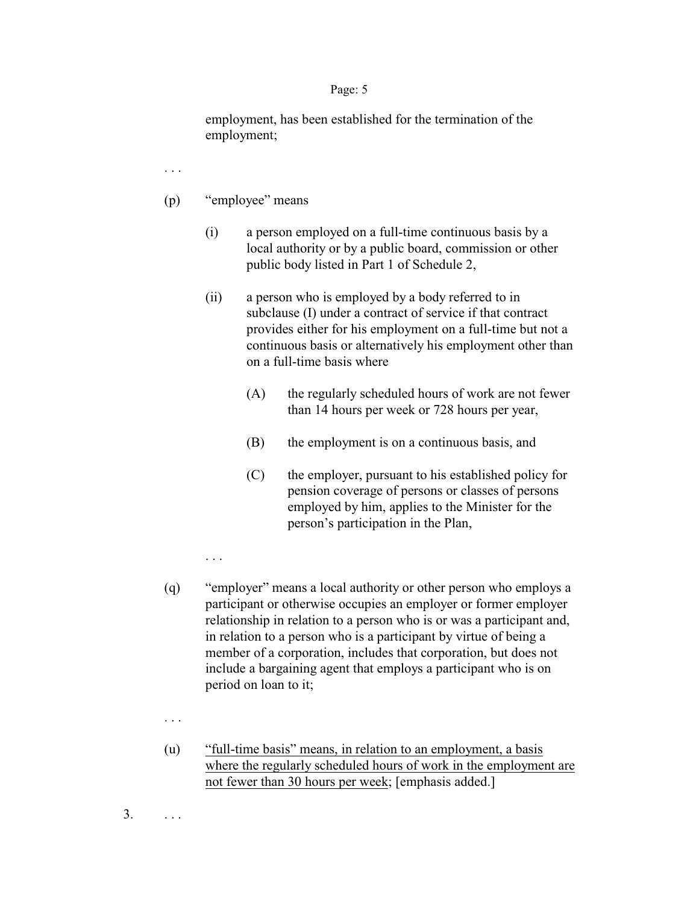employment, has been established for the termination of the employment;

. . .

- (p) "employee" means
	- (i) a person employed on a full-time continuous basis by a local authority or by a public board, commission or other public body listed in Part 1 of Schedule 2,
	- (ii) a person who is employed by a body referred to in subclause (I) under a contract of service if that contract provides either for his employment on a full-time but not a continuous basis or alternatively his employment other than on a full-time basis where
		- (A) the regularly scheduled hours of work are not fewer than 14 hours per week or 728 hours per year,
		- (B) the employment is on a continuous basis, and
		- (C) the employer, pursuant to his established policy for pension coverage of persons or classes of persons employed by him, applies to the Minister for the person's participation in the Plan,

. . .

- (q) "employer" means a local authority or other person who employs a participant or otherwise occupies an employer or former employer relationship in relation to a person who is or was a participant and, in relation to a person who is a participant by virtue of being a member of a corporation, includes that corporation, but does not include a bargaining agent that employs a participant who is on period on loan to it;
- . . .
- (u) "full-time basis" means, in relation to an employment, a basis where the regularly scheduled hours of work in the employment are not fewer than 30 hours per week; [emphasis added.]

 $3. \qquad \ldots$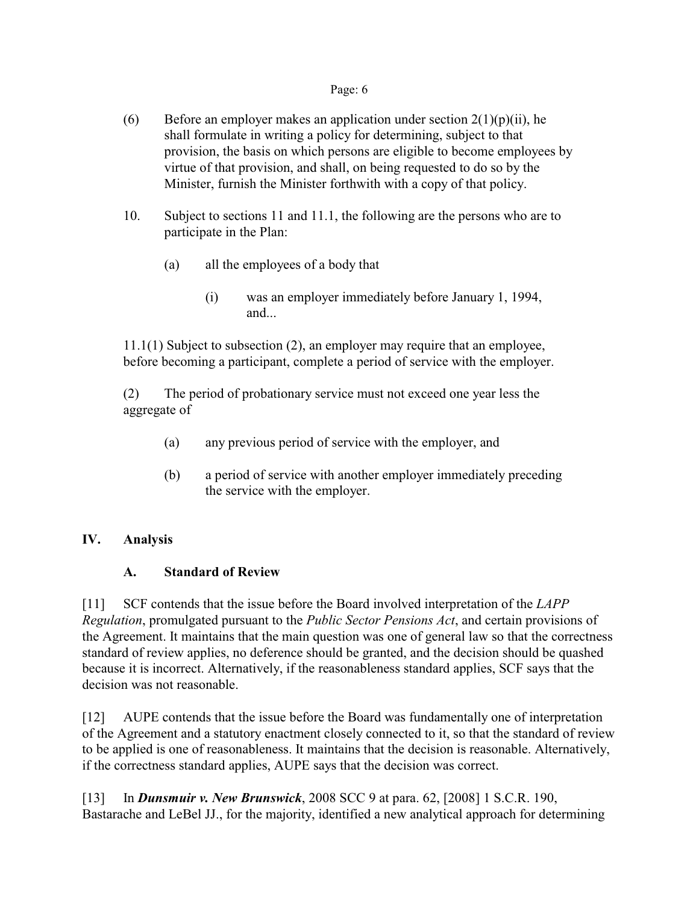- (6) Before an employer makes an application under section  $2(1)(p)(ii)$ , he shall formulate in writing a policy for determining, subject to that provision, the basis on which persons are eligible to become employees by virtue of that provision, and shall, on being requested to do so by the Minister, furnish the Minister forthwith with a copy of that policy.
- 10. Subject to sections 11 and 11.1, the following are the persons who are to participate in the Plan:
	- (a) all the employees of a body that
		- (i) was an employer immediately before January 1, 1994, and...

11.1(1) Subject to subsection (2), an employer may require that an employee, before becoming a participant, complete a period of service with the employer.

(2) The period of probationary service must not exceed one year less the aggregate of

- (a) any previous period of service with the employer, and
- (b) a period of service with another employer immediately preceding the service with the employer.

## **IV. Analysis**

## **A. Standard of Review**

[11] SCF contends that the issue before the Board involved interpretation of the *LAPP Regulation*, promulgated pursuant to the *Public Sector Pensions Act*, and certain provisions of the Agreement. It maintains that the main question was one of general law so that the correctness standard of review applies, no deference should be granted, and the decision should be quashed because it is incorrect. Alternatively, if the reasonableness standard applies, SCF says that the decision was not reasonable.

[12] AUPE contends that the issue before the Board was fundamentally one of interpretation of the Agreement and a statutory enactment closely connected to it, so that the standard of review to be applied is one of reasonableness. It maintains that the decision is reasonable. Alternatively, if the correctness standard applies, AUPE says that the decision was correct.

[13] In *Dunsmuir v. New Brunswick*, 2008 SCC 9 at para. 62, [2008] 1 S.C.R. 190, Bastarache and LeBel JJ., for the majority, identified a new analytical approach for determining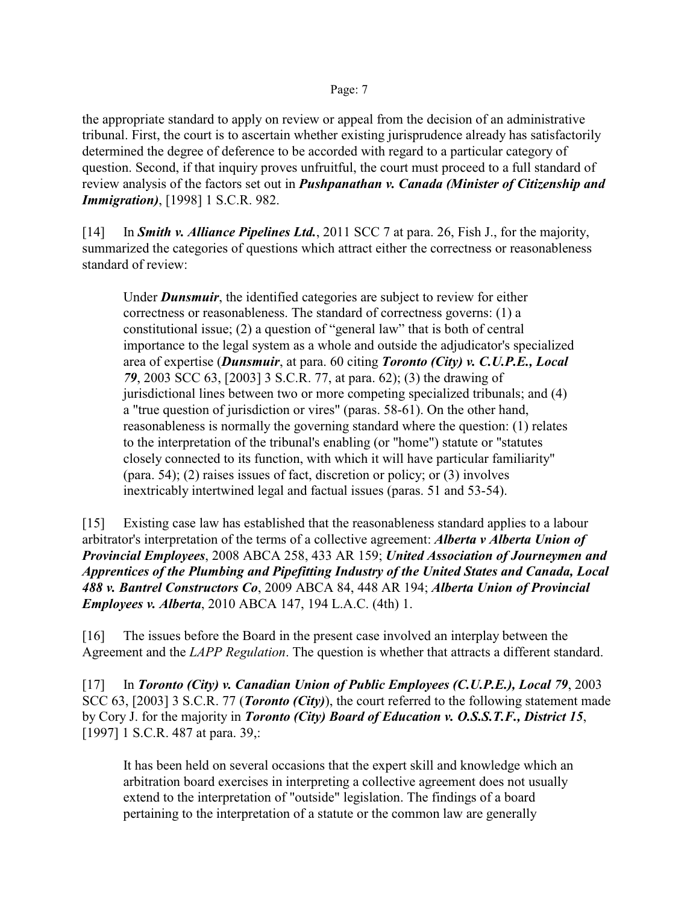the appropriate standard to apply on review or appeal from the decision of an administrative tribunal. First, the court is to ascertain whether existing jurisprudence already has satisfactorily determined the degree of deference to be accorded with regard to a particular category of question. Second, if that inquiry proves unfruitful, the court must proceed to a full standard of review analysis of the factors set out in *Pushpanathan v. Canada (Minister of Citizenship and Immigration)*, [1998] 1 S.C.R. 982.

[14] In *Smith v. Alliance Pipelines Ltd.*, 2011 SCC 7 at para. 26, Fish J., for the majority, summarized the categories of questions which attract either the correctness or reasonableness standard of review:

Under *Dunsmuir*, the identified categories are subject to review for either correctness or reasonableness. The standard of correctness governs: (1) a constitutional issue; (2) a question of "general law" that is both of central importance to the legal system as a whole and outside the adjudicator's specialized area of expertise (*Dunsmuir*, at para. 60 citing *Toronto (City) v. C.U.P.E., Local 79*, 2003 SCC 63, [2003] 3 S.C.R. 77, at para. 62); (3) the drawing of jurisdictional lines between two or more competing specialized tribunals; and (4) a "true question of jurisdiction or vires" (paras. 58-61). On the other hand, reasonableness is normally the governing standard where the question: (1) relates to the interpretation of the tribunal's enabling (or "home") statute or "statutes closely connected to its function, with which it will have particular familiarity" (para. 54); (2) raises issues of fact, discretion or policy; or (3) involves inextricably intertwined legal and factual issues (paras. 51 and 53-54).

[15] Existing case law has established that the reasonableness standard applies to a labour arbitrator's interpretation of the terms of a collective agreement: *Alberta v Alberta Union of Provincial Employees*, 2008 ABCA 258, 433 AR 159; *United Association of Journeymen and Apprentices of the Plumbing and Pipefitting Industry of the United States and Canada, Local 488 v. Bantrel Constructors Co*, 2009 ABCA 84, 448 AR 194; *Alberta Union of Provincial Employees v. Alberta*, 2010 ABCA 147, 194 L.A.C. (4th) 1.

[16] The issues before the Board in the present case involved an interplay between the Agreement and the *LAPP Regulation*. The question is whether that attracts a different standard.

[17] In *Toronto (City) v. Canadian Union of Public Employees (C.U.P.E.), Local 79*, 2003 SCC 63, [2003] 3 S.C.R. 77 (*Toronto (City)*), the court referred to the following statement made by Cory J. for the majority in *Toronto (City) Board of Education v. O.S.S.T.F., District 15*, [1997] 1 S.C.R. 487 at para. 39,:

It has been held on several occasions that the expert skill and knowledge which an arbitration board exercises in interpreting a collective agreement does not usually extend to the interpretation of "outside" legislation. The findings of a board pertaining to the interpretation of a statute or the common law are generally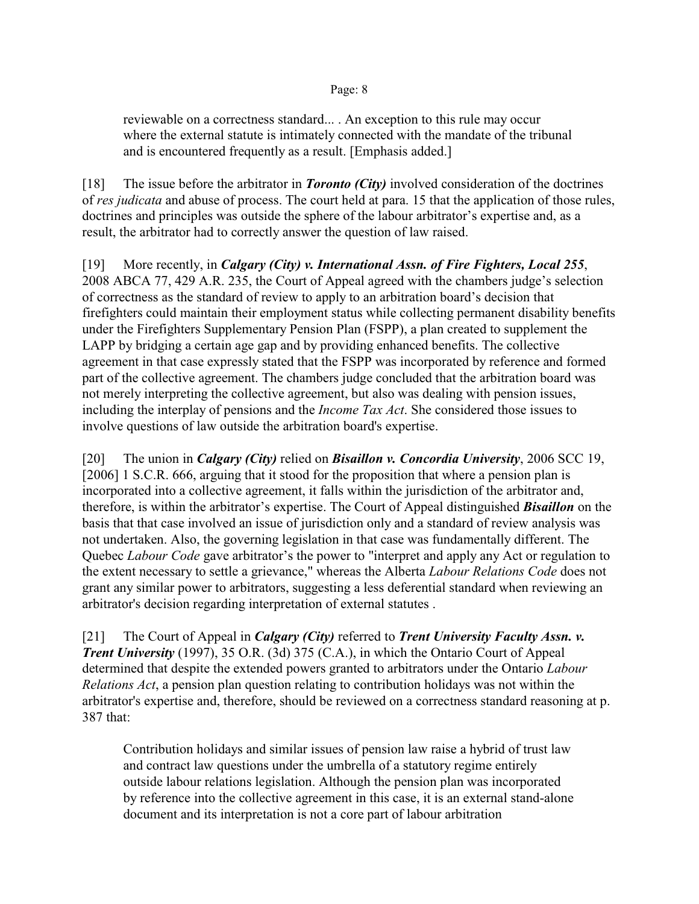reviewable on a correctness standard... . An exception to this rule may occur where the external statute is intimately connected with the mandate of the tribunal and is encountered frequently as a result. [Emphasis added.]

[18] The issue before the arbitrator in *Toronto (City)* involved consideration of the doctrines of *res judicata* and abuse of process. The court held at para. 15 that the application of those rules, doctrines and principles was outside the sphere of the labour arbitrator's expertise and, as a result, the arbitrator had to correctly answer the question of law raised.

[19] More recently, in *Calgary (City) v. International Assn. of Fire Fighters, Local 255*, 2008 ABCA 77, 429 A.R. 235, the Court of Appeal agreed with the chambers judge's selection of correctness as the standard of review to apply to an arbitration board's decision that firefighters could maintain their employment status while collecting permanent disability benefits under the Firefighters Supplementary Pension Plan (FSPP), a plan created to supplement the LAPP by bridging a certain age gap and by providing enhanced benefits. The collective agreement in that case expressly stated that the FSPP was incorporated by reference and formed part of the collective agreement. The chambers judge concluded that the arbitration board was not merely interpreting the collective agreement, but also was dealing with pension issues, including the interplay of pensions and the *Income Tax Act*. She considered those issues to involve questions of law outside the arbitration board's expertise.

[20] The union in *Calgary (City)* relied on *Bisaillon v. Concordia University*, 2006 SCC 19, [2006] 1 S.C.R. 666, arguing that it stood for the proposition that where a pension plan is incorporated into a collective agreement, it falls within the jurisdiction of the arbitrator and, therefore, is within the arbitrator's expertise. The Court of Appeal distinguished *Bisaillon* on the basis that that case involved an issue of jurisdiction only and a standard of review analysis was not undertaken. Also, the governing legislation in that case was fundamentally different. The Quebec *Labour Code* gave arbitrator's the power to "interpret and apply any Act or regulation to the extent necessary to settle a grievance," whereas the Alberta *Labour Relations Code* does not grant any similar power to arbitrators, suggesting a less deferential standard when reviewing an arbitrator's decision regarding interpretation of external statutes .

[21] The Court of Appeal in *Calgary (City)* referred to *Trent University Faculty Assn. v. Trent University* (1997), 35 O.R. (3d) 375 (C.A.), in which the Ontario Court of Appeal determined that despite the extended powers granted to arbitrators under the Ontario *Labour Relations Act*, a pension plan question relating to contribution holidays was not within the arbitrator's expertise and, therefore, should be reviewed on a correctness standard reasoning at p. 387 that:

Contribution holidays and similar issues of pension law raise a hybrid of trust law and contract law questions under the umbrella of a statutory regime entirely outside labour relations legislation. Although the pension plan was incorporated by reference into the collective agreement in this case, it is an external stand-alone document and its interpretation is not a core part of labour arbitration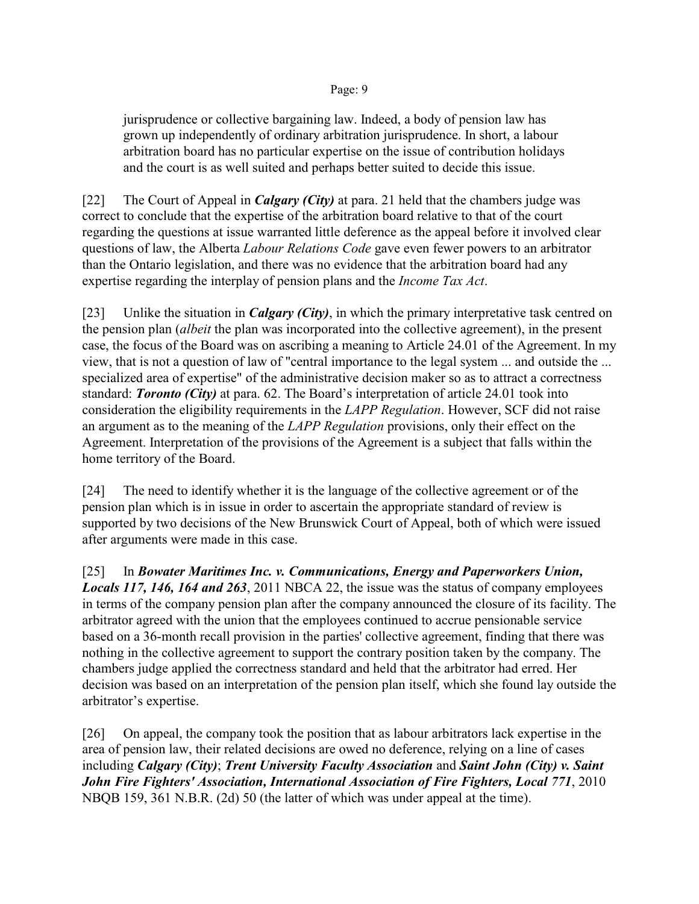jurisprudence or collective bargaining law. Indeed, a body of pension law has grown up independently of ordinary arbitration jurisprudence. In short, a labour arbitration board has no particular expertise on the issue of contribution holidays and the court is as well suited and perhaps better suited to decide this issue.

[22] The Court of Appeal in *Calgary (City)* at para. 21 held that the chambers judge was correct to conclude that the expertise of the arbitration board relative to that of the court regarding the questions at issue warranted little deference as the appeal before it involved clear questions of law, the Alberta *Labour Relations Code* gave even fewer powers to an arbitrator than the Ontario legislation, and there was no evidence that the arbitration board had any expertise regarding the interplay of pension plans and the *Income Tax Act*.

[23] Unlike the situation in *Calgary (City)*, in which the primary interpretative task centred on the pension plan (*albeit* the plan was incorporated into the collective agreement), in the present case, the focus of the Board was on ascribing a meaning to Article 24.01 of the Agreement. In my view, that is not a question of law of "central importance to the legal system ... and outside the ... specialized area of expertise" of the administrative decision maker so as to attract a correctness standard: *Toronto (City)* at para. 62. The Board's interpretation of article 24.01 took into consideration the eligibility requirements in the *LAPP Regulation*. However, SCF did not raise an argument as to the meaning of the *LAPP Regulation* provisions, only their effect on the Agreement. Interpretation of the provisions of the Agreement is a subject that falls within the home territory of the Board.

[24] The need to identify whether it is the language of the collective agreement or of the pension plan which is in issue in order to ascertain the appropriate standard of review is supported by two decisions of the New Brunswick Court of Appeal, both of which were issued after arguments were made in this case.

[25] In *Bowater Maritimes Inc. v. Communications, Energy and Paperworkers Union, Locals 117, 146, 164 and 263*, 2011 NBCA 22, the issue was the status of company employees in terms of the company pension plan after the company announced the closure of its facility. The arbitrator agreed with the union that the employees continued to accrue pensionable service based on a 36-month recall provision in the parties' collective agreement, finding that there was nothing in the collective agreement to support the contrary position taken by the company. The chambers judge applied the correctness standard and held that the arbitrator had erred. Her decision was based on an interpretation of the pension plan itself, which she found lay outside the arbitrator's expertise.

[26] On appeal, the company took the position that as labour arbitrators lack expertise in the area of pension law, their related decisions are owed no deference, relying on a line of cases including *Calgary (City)*; *Trent University Faculty Association* and *Saint John (City) v. Saint John Fire Fighters' Association, International Association of Fire Fighters, Local 771*, 2010 NBQB 159, 361 N.B.R. (2d) 50 (the latter of which was under appeal at the time).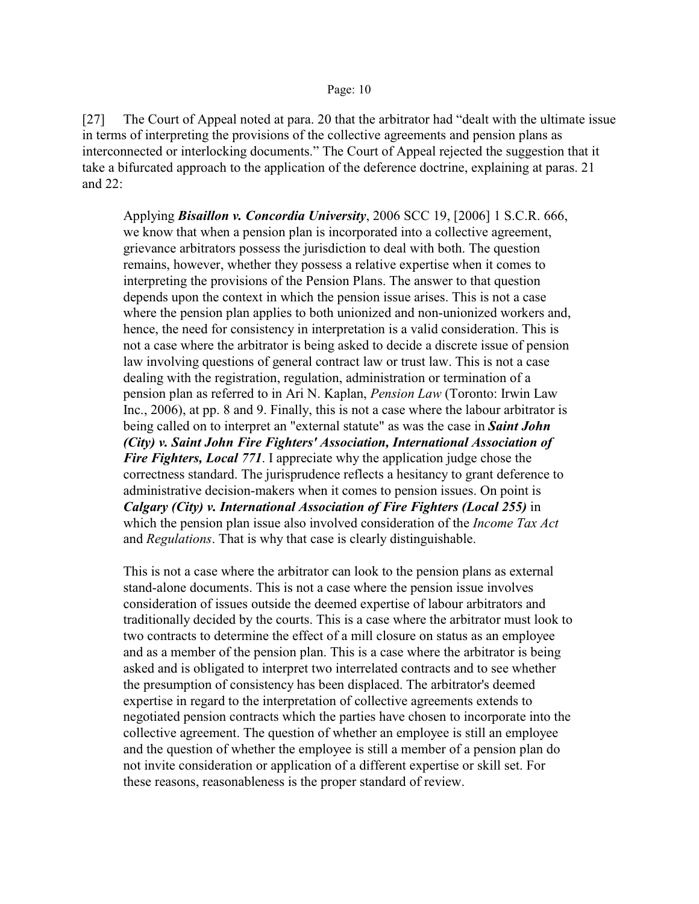[27] The Court of Appeal noted at para. 20 that the arbitrator had "dealt with the ultimate issue in terms of interpreting the provisions of the collective agreements and pension plans as interconnected or interlocking documents." The Court of Appeal rejected the suggestion that it take a bifurcated approach to the application of the deference doctrine, explaining at paras. 21 and 22:

Applying *Bisaillon v. Concordia University*, 2006 SCC 19, [2006] 1 S.C.R. 666, we know that when a pension plan is incorporated into a collective agreement, grievance arbitrators possess the jurisdiction to deal with both. The question remains, however, whether they possess a relative expertise when it comes to interpreting the provisions of the Pension Plans. The answer to that question depends upon the context in which the pension issue arises. This is not a case where the pension plan applies to both unionized and non-unionized workers and, hence, the need for consistency in interpretation is a valid consideration. This is not a case where the arbitrator is being asked to decide a discrete issue of pension law involving questions of general contract law or trust law. This is not a case dealing with the registration, regulation, administration or termination of a pension plan as referred to in Ari N. Kaplan, *Pension Law* (Toronto: Irwin Law Inc., 2006), at pp. 8 and 9. Finally, this is not a case where the labour arbitrator is being called on to interpret an "external statute" as was the case in *Saint John (City) v. Saint John Fire Fighters' Association, International Association of Fire Fighters, Local 771*. I appreciate why the application judge chose the correctness standard. The jurisprudence reflects a hesitancy to grant deference to administrative decision-makers when it comes to pension issues. On point is *Calgary (City) v. International Association of Fire Fighters (Local 255)* in which the pension plan issue also involved consideration of the *Income Tax Act* and *Regulations*. That is why that case is clearly distinguishable.

This is not a case where the arbitrator can look to the pension plans as external stand-alone documents. This is not a case where the pension issue involves consideration of issues outside the deemed expertise of labour arbitrators and traditionally decided by the courts. This is a case where the arbitrator must look to two contracts to determine the effect of a mill closure on status as an employee and as a member of the pension plan. This is a case where the arbitrator is being asked and is obligated to interpret two interrelated contracts and to see whether the presumption of consistency has been displaced. The arbitrator's deemed expertise in regard to the interpretation of collective agreements extends to negotiated pension contracts which the parties have chosen to incorporate into the collective agreement. The question of whether an employee is still an employee and the question of whether the employee is still a member of a pension plan do not invite consideration or application of a different expertise or skill set. For these reasons, reasonableness is the proper standard of review.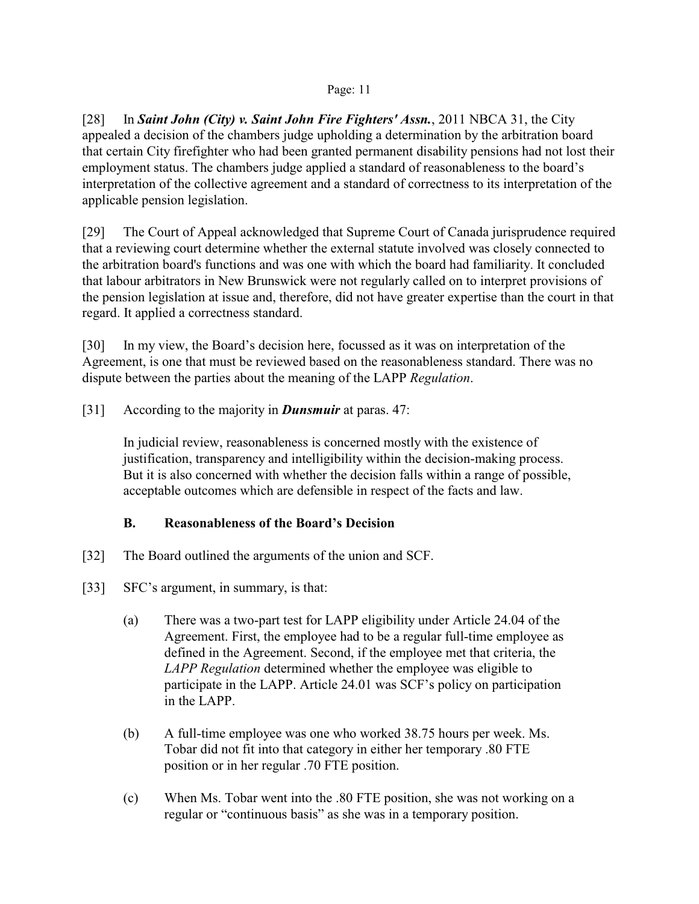[28] In *Saint John (City) v. Saint John Fire Fighters' Assn.*, 2011 NBCA 31, the City appealed a decision of the chambers judge upholding a determination by the arbitration board that certain City firefighter who had been granted permanent disability pensions had not lost their employment status. The chambers judge applied a standard of reasonableness to the board's interpretation of the collective agreement and a standard of correctness to its interpretation of the applicable pension legislation.

[29] The Court of Appeal acknowledged that Supreme Court of Canada jurisprudence required that a reviewing court determine whether the external statute involved was closely connected to the arbitration board's functions and was one with which the board had familiarity. It concluded that labour arbitrators in New Brunswick were not regularly called on to interpret provisions of the pension legislation at issue and, therefore, did not have greater expertise than the court in that regard. It applied a correctness standard.

[30] In my view, the Board's decision here, focussed as it was on interpretation of the Agreement, is one that must be reviewed based on the reasonableness standard. There was no dispute between the parties about the meaning of the LAPP *Regulation*.

[31] According to the majority in *Dunsmuir* at paras. 47:

In judicial review, reasonableness is concerned mostly with the existence of justification, transparency and intelligibility within the decision-making process. But it is also concerned with whether the decision falls within a range of possible, acceptable outcomes which are defensible in respect of the facts and law.

## **B. Reasonableness of the Board's Decision**

- [32] The Board outlined the arguments of the union and SCF.
- [33] SFC's argument, in summary, is that:
	- (a) There was a two-part test for LAPP eligibility under Article 24.04 of the Agreement. First, the employee had to be a regular full-time employee as defined in the Agreement. Second, if the employee met that criteria, the *LAPP Regulation* determined whether the employee was eligible to participate in the LAPP. Article 24.01 was SCF's policy on participation in the LAPP.
	- (b) A full-time employee was one who worked 38.75 hours per week. Ms. Tobar did not fit into that category in either her temporary .80 FTE position or in her regular .70 FTE position.
	- (c) When Ms. Tobar went into the .80 FTE position, she was not working on a regular or "continuous basis" as she was in a temporary position.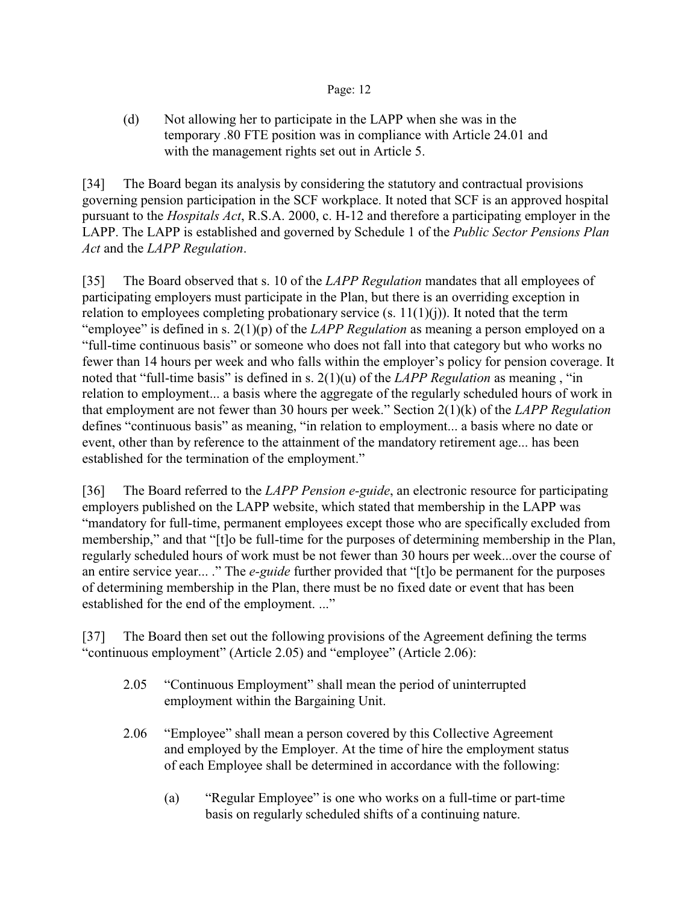(d) Not allowing her to participate in the LAPP when she was in the temporary .80 FTE position was in compliance with Article 24.01 and with the management rights set out in Article 5.

[34] The Board began its analysis by considering the statutory and contractual provisions governing pension participation in the SCF workplace. It noted that SCF is an approved hospital pursuant to the *Hospitals Act*, R.S.A. 2000, c. H-12 and therefore a participating employer in the LAPP. The LAPP is established and governed by Schedule 1 of the *Public Sector Pensions Plan Act* and the *LAPP Regulation*.

[35] The Board observed that s. 10 of the *LAPP Regulation* mandates that all employees of participating employers must participate in the Plan, but there is an overriding exception in relation to employees completing probationary service  $(s. 11(1)(j))$ . It noted that the term "employee" is defined in s. 2(1)(p) of the *LAPP Regulation* as meaning a person employed on a "full-time continuous basis" or someone who does not fall into that category but who works no fewer than 14 hours per week and who falls within the employer's policy for pension coverage. It noted that "full-time basis" is defined in s. 2(1)(u) of the *LAPP Regulation* as meaning , "in relation to employment... a basis where the aggregate of the regularly scheduled hours of work in that employment are not fewer than 30 hours per week." Section 2(1)(k) of the *LAPP Regulation* defines "continuous basis" as meaning, "in relation to employment... a basis where no date or event, other than by reference to the attainment of the mandatory retirement age... has been established for the termination of the employment."

[36] The Board referred to the *LAPP Pension e-guide*, an electronic resource for participating employers published on the LAPP website, which stated that membership in the LAPP was "mandatory for full-time, permanent employees except those who are specifically excluded from membership," and that "[t]o be full-time for the purposes of determining membership in the Plan, regularly scheduled hours of work must be not fewer than 30 hours per week...over the course of an entire service year... ." The *e-guide* further provided that "[t]o be permanent for the purposes of determining membership in the Plan, there must be no fixed date or event that has been established for the end of the employment. ..."

[37] The Board then set out the following provisions of the Agreement defining the terms "continuous employment" (Article 2.05) and "employee" (Article 2.06):

- 2.05 "Continuous Employment" shall mean the period of uninterrupted employment within the Bargaining Unit.
- 2.06 "Employee" shall mean a person covered by this Collective Agreement and employed by the Employer. At the time of hire the employment status of each Employee shall be determined in accordance with the following:
	- (a) "Regular Employee" is one who works on a full-time or part-time basis on regularly scheduled shifts of a continuing nature.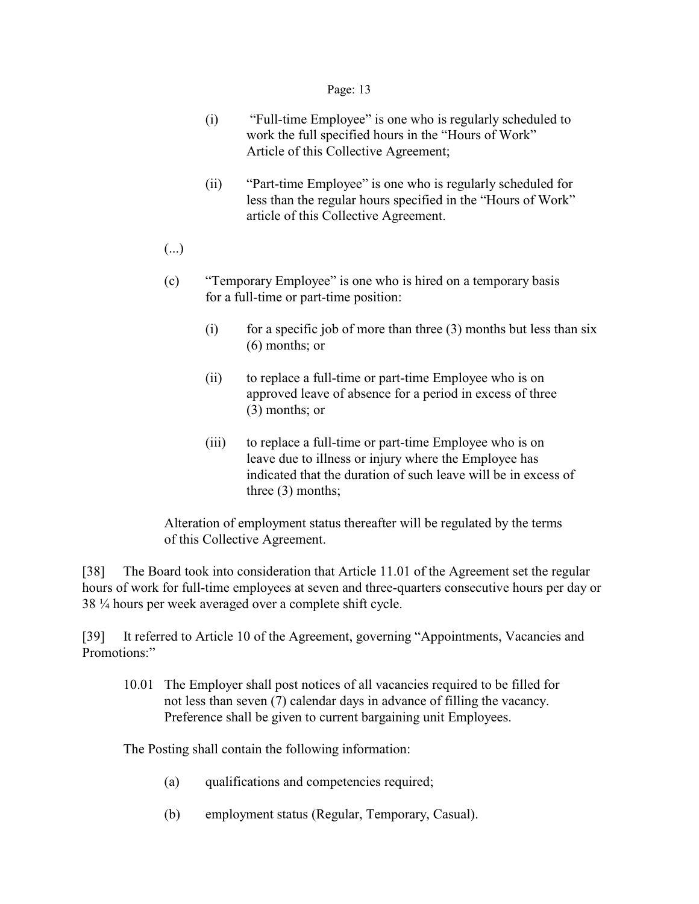- (i) "Full-time Employee" is one who is regularly scheduled to work the full specified hours in the "Hours of Work" Article of this Collective Agreement;
- (ii) "Part-time Employee" is one who is regularly scheduled for less than the regular hours specified in the "Hours of Work" article of this Collective Agreement.
- (...)
- (c) "Temporary Employee" is one who is hired on a temporary basis for a full-time or part-time position:
	- (i) for a specific job of more than three  $(3)$  months but less than six (6) months; or
	- (ii) to replace a full-time or part-time Employee who is on approved leave of absence for a period in excess of three (3) months; or
	- (iii) to replace a full-time or part-time Employee who is on leave due to illness or injury where the Employee has indicated that the duration of such leave will be in excess of three (3) months;

Alteration of employment status thereafter will be regulated by the terms of this Collective Agreement.

[38] The Board took into consideration that Article 11.01 of the Agreement set the regular hours of work for full-time employees at seven and three-quarters consecutive hours per day or 38 ¼ hours per week averaged over a complete shift cycle.

[39] It referred to Article 10 of the Agreement, governing "Appointments, Vacancies and Promotions."

10.01 The Employer shall post notices of all vacancies required to be filled for not less than seven (7) calendar days in advance of filling the vacancy. Preference shall be given to current bargaining unit Employees.

The Posting shall contain the following information:

- (a) qualifications and competencies required;
- (b) employment status (Regular, Temporary, Casual).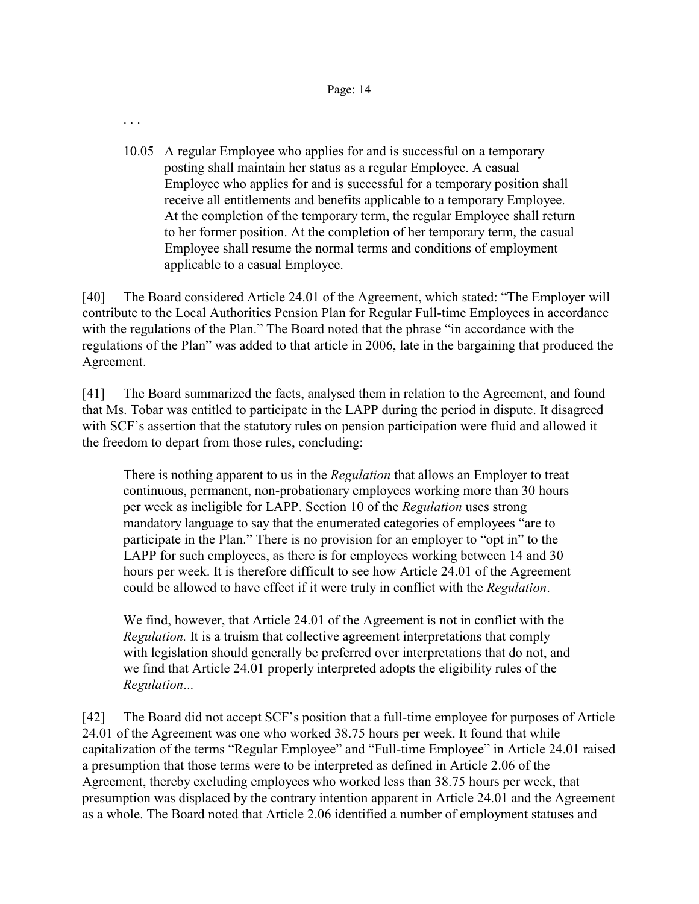. . .

10.05 A regular Employee who applies for and is successful on a temporary posting shall maintain her status as a regular Employee. A casual Employee who applies for and is successful for a temporary position shall receive all entitlements and benefits applicable to a temporary Employee. At the completion of the temporary term, the regular Employee shall return to her former position. At the completion of her temporary term, the casual Employee shall resume the normal terms and conditions of employment applicable to a casual Employee.

[40] The Board considered Article 24.01 of the Agreement, which stated: "The Employer will contribute to the Local Authorities Pension Plan for Regular Full-time Employees in accordance with the regulations of the Plan." The Board noted that the phrase "in accordance with the regulations of the Plan" was added to that article in 2006, late in the bargaining that produced the Agreement.

[41] The Board summarized the facts, analysed them in relation to the Agreement, and found that Ms. Tobar was entitled to participate in the LAPP during the period in dispute. It disagreed with SCF's assertion that the statutory rules on pension participation were fluid and allowed it the freedom to depart from those rules, concluding:

There is nothing apparent to us in the *Regulation* that allows an Employer to treat continuous, permanent, non-probationary employees working more than 30 hours per week as ineligible for LAPP. Section 10 of the *Regulation* uses strong mandatory language to say that the enumerated categories of employees "are to participate in the Plan." There is no provision for an employer to "opt in" to the LAPP for such employees, as there is for employees working between 14 and 30 hours per week. It is therefore difficult to see how Article 24.01 of the Agreement could be allowed to have effect if it were truly in conflict with the *Regulation*.

We find, however, that Article 24.01 of the Agreement is not in conflict with the *Regulation.* It is a truism that collective agreement interpretations that comply with legislation should generally be preferred over interpretations that do not, and we find that Article 24.01 properly interpreted adopts the eligibility rules of the *Regulation*...

[42] The Board did not accept SCF's position that a full-time employee for purposes of Article 24.01 of the Agreement was one who worked 38.75 hours per week. It found that while capitalization of the terms "Regular Employee" and "Full-time Employee" in Article 24.01 raised a presumption that those terms were to be interpreted as defined in Article 2.06 of the Agreement, thereby excluding employees who worked less than 38.75 hours per week, that presumption was displaced by the contrary intention apparent in Article 24.01 and the Agreement as a whole. The Board noted that Article 2.06 identified a number of employment statuses and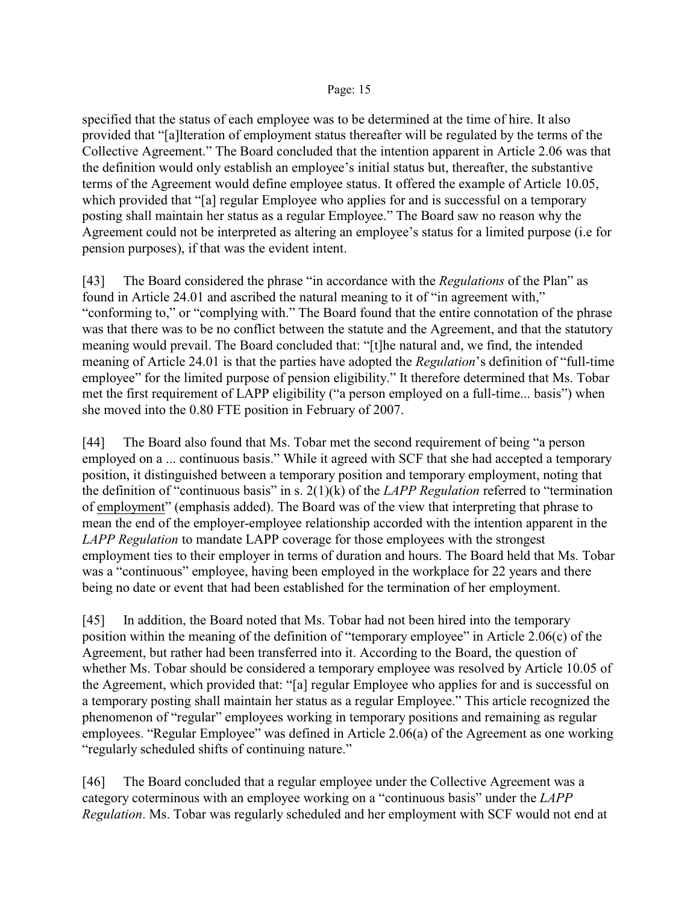specified that the status of each employee was to be determined at the time of hire. It also provided that "[a]lteration of employment status thereafter will be regulated by the terms of the Collective Agreement." The Board concluded that the intention apparent in Article 2.06 was that the definition would only establish an employee's initial status but, thereafter, the substantive terms of the Agreement would define employee status. It offered the example of Article 10.05, which provided that "[a] regular Employee who applies for and is successful on a temporary posting shall maintain her status as a regular Employee." The Board saw no reason why the Agreement could not be interpreted as altering an employee's status for a limited purpose (i.e for pension purposes), if that was the evident intent.

[43] The Board considered the phrase "in accordance with the *Regulations* of the Plan" as found in Article 24.01 and ascribed the natural meaning to it of "in agreement with," "conforming to," or "complying with." The Board found that the entire connotation of the phrase was that there was to be no conflict between the statute and the Agreement, and that the statutory meaning would prevail. The Board concluded that: "[t]he natural and, we find, the intended meaning of Article 24.01 is that the parties have adopted the *Regulation*'s definition of "full-time employee" for the limited purpose of pension eligibility." It therefore determined that Ms. Tobar met the first requirement of LAPP eligibility ("a person employed on a full-time... basis") when she moved into the 0.80 FTE position in February of 2007.

[44] The Board also found that Ms. Tobar met the second requirement of being "a person employed on a ... continuous basis." While it agreed with SCF that she had accepted a temporary position, it distinguished between a temporary position and temporary employment, noting that the definition of "continuous basis" in s. 2(1)(k) of the *LAPP Regulation* referred to "termination of employment" (emphasis added). The Board was of the view that interpreting that phrase to mean the end of the employer-employee relationship accorded with the intention apparent in the *LAPP Regulation* to mandate LAPP coverage for those employees with the strongest employment ties to their employer in terms of duration and hours. The Board held that Ms. Tobar was a "continuous" employee, having been employed in the workplace for 22 years and there being no date or event that had been established for the termination of her employment.

[45] In addition, the Board noted that Ms. Tobar had not been hired into the temporary position within the meaning of the definition of "temporary employee" in Article 2.06(c) of the Agreement, but rather had been transferred into it. According to the Board, the question of whether Ms. Tobar should be considered a temporary employee was resolved by Article 10.05 of the Agreement, which provided that: "[a] regular Employee who applies for and is successful on a temporary posting shall maintain her status as a regular Employee." This article recognized the phenomenon of "regular" employees working in temporary positions and remaining as regular employees. "Regular Employee" was defined in Article 2.06(a) of the Agreement as one working "regularly scheduled shifts of continuing nature."

[46] The Board concluded that a regular employee under the Collective Agreement was a category coterminous with an employee working on a "continuous basis" under the *LAPP Regulation*. Ms. Tobar was regularly scheduled and her employment with SCF would not end at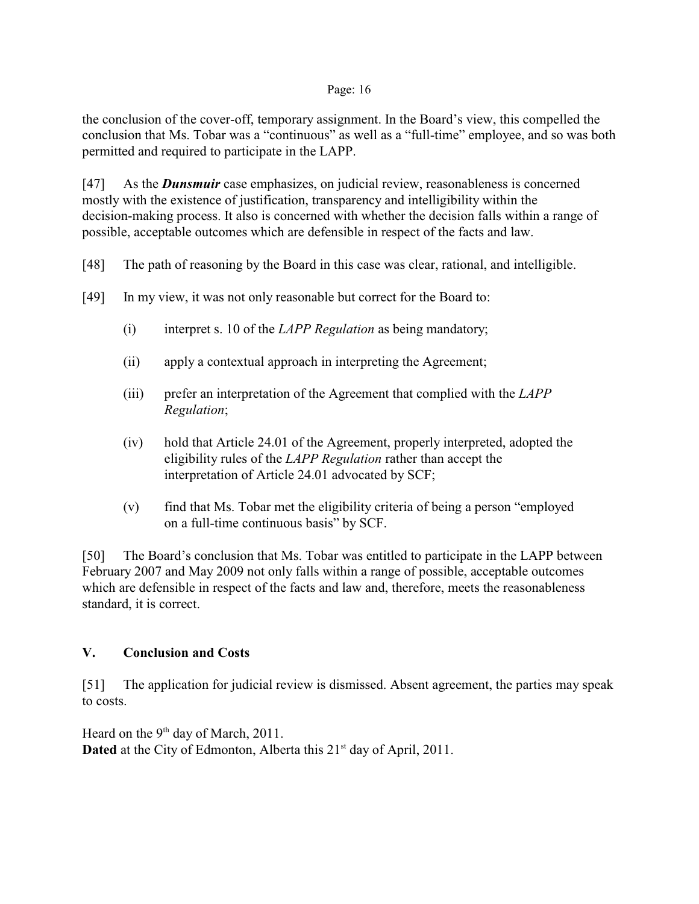the conclusion of the cover-off, temporary assignment. In the Board's view, this compelled the conclusion that Ms. Tobar was a "continuous" as well as a "full-time" employee, and so was both permitted and required to participate in the LAPP.

[47] As the *Dunsmuir* case emphasizes, on judicial review, reasonableness is concerned mostly with the existence of justification, transparency and intelligibility within the decision-making process. It also is concerned with whether the decision falls within a range of possible, acceptable outcomes which are defensible in respect of the facts and law.

- [48] The path of reasoning by the Board in this case was clear, rational, and intelligible.
- [49] In my view, it was not only reasonable but correct for the Board to:
	- (i) interpret s. 10 of the *LAPP Regulation* as being mandatory;
	- (ii) apply a contextual approach in interpreting the Agreement;
	- (iii) prefer an interpretation of the Agreement that complied with the *LAPP Regulation*;
	- (iv) hold that Article 24.01 of the Agreement, properly interpreted, adopted the eligibility rules of the *LAPP Regulation* rather than accept the interpretation of Article 24.01 advocated by SCF;
	- (v) find that Ms. Tobar met the eligibility criteria of being a person "employed on a full-time continuous basis" by SCF.

[50] The Board's conclusion that Ms. Tobar was entitled to participate in the LAPP between February 2007 and May 2009 not only falls within a range of possible, acceptable outcomes which are defensible in respect of the facts and law and, therefore, meets the reasonableness standard, it is correct.

## **V. Conclusion and Costs**

[51] The application for judicial review is dismissed. Absent agreement, the parties may speak to costs.

Heard on the  $9<sup>th</sup>$  day of March, 2011. **Dated** at the City of Edmonton, Alberta this 21<sup>st</sup> day of April, 2011.